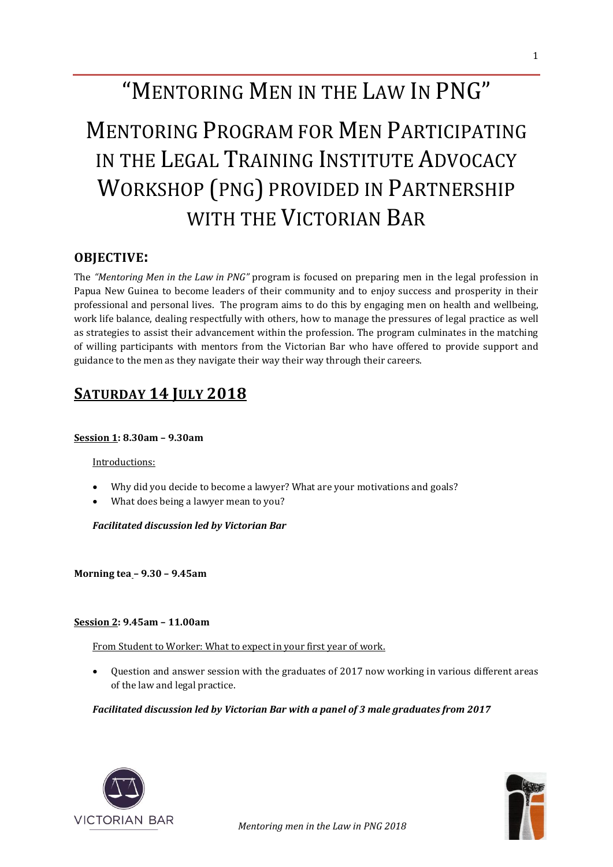## "MENTORING MEN IN THE LAW IN PNG"

# MENTORING PROGRAM FOR MEN PARTICIPATING IN THE LEGAL TRAINING INSTITUTE ADVOCACY WORKSHOP (PNG) PROVIDED IN PARTNERSHIP WITH THE VICTORIAN BAR

#### **OBJECTIVE:**

The *"Mentoring Men in the Law in PNG"* program is focused on preparing men in the legal profession in Papua New Guinea to become leaders of their community and to enjoy success and prosperity in their professional and personal lives. The program aims to do this by engaging men on health and wellbeing, work life balance, dealing respectfully with others, how to manage the pressures of legal practice as well as strategies to assist their advancement within the profession. The program culminates in the matching of willing participants with mentors from the Victorian Bar who have offered to provide support and guidance to the men as they navigate their way their way through their careers.

### **SATURDAY 14 JULY 2018**

#### **Session 1: 8.30am – 9.30am**

#### Introductions:

- Why did you decide to become a lawyer? What are your motivations and goals?
- What does being a lawyer mean to you?

*Facilitated discussion led by Victorian Bar* 

**Morning tea – 9.30 – 9.45am**

#### **Session 2: 9.45am – 11.00am**

From Student to Worker: What to expect in your first year of work.

• Question and answer session with the graduates of 2017 now working in various different areas of the law and legal practice.

*Facilitated discussion led by Victorian Bar with a panel of 3 male graduates from 2017*



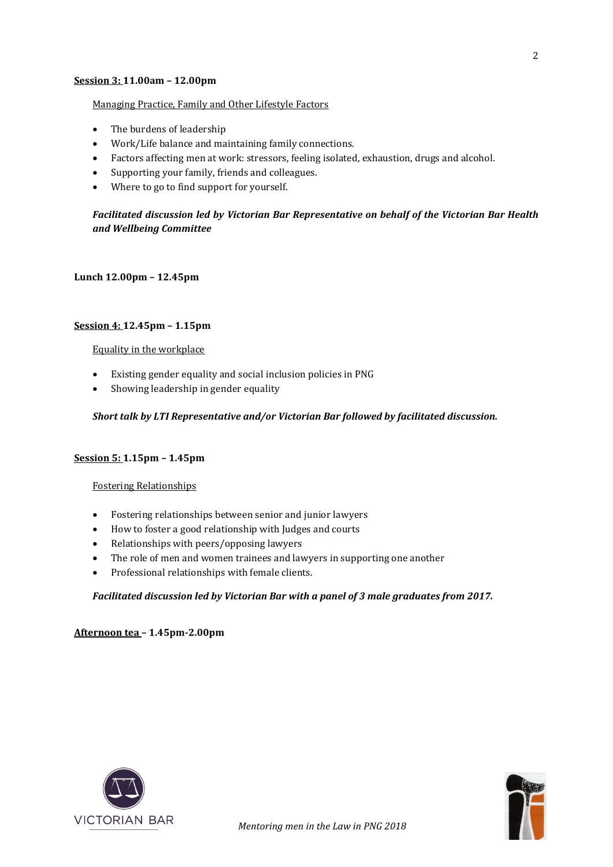#### **Session 3: 11.00am – 12.00pm**

#### Managing Practice, Family and Other Lifestyle Factors

- The burdens of leadership
- Work/Life balance and maintaining family connections.
- Factors affecting men at work: stressors, feeling isolated, exhaustion, drugs and alcohol.
- Supporting your family, friends and colleagues.
- Where to go to find support for yourself.

#### *Facilitated discussion led by Victorian Bar Representative on behalf of the Victorian Bar Health and Wellbeing Committee*

**Lunch 12.00pm – 12.45pm**

#### **Session 4: 12.45pm – 1.15pm**

#### Equality in the workplace

- Existing gender equality and social inclusion policies in PNG
- Showing leadership in gender equality

#### *Short talk by LTI Representative and/or Victorian Bar followed by facilitated discussion.*

#### **Session 5: 1.15pm – 1.45pm**

#### Fostering Relationships

- Fostering relationships between senior and junior lawyers
- How to foster a good relationship with Judges and courts
- Relationships with peers/opposing lawyers
- The role of men and women trainees and lawyers in supporting one another
- Professional relationships with female clients.

#### *Facilitated discussion led by Victorian Bar with a panel of 3 male graduates from 2017.*

#### **Afternoon tea – 1.45pm-2.00pm**